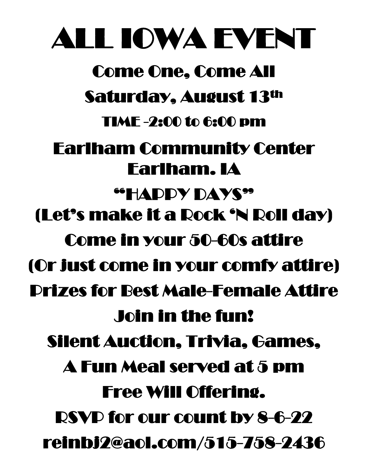